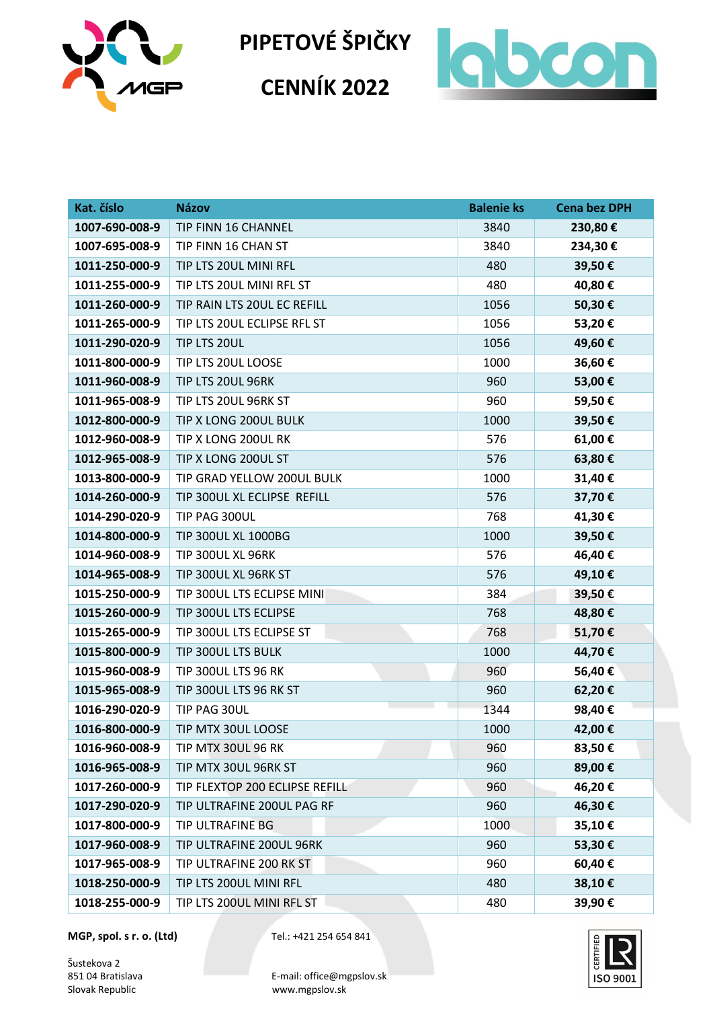

**CENNÍK 2022**



| Kat. číslo     | <b>Názov</b>                   | <b>Balenie ks</b> | <b>Cena bez DPH</b> |
|----------------|--------------------------------|-------------------|---------------------|
| 1007-690-008-9 | TIP FINN 16 CHANNEL            | 3840              | 230,80€             |
| 1007-695-008-9 | TIP FINN 16 CHAN ST            | 3840              | 234,30€             |
| 1011-250-000-9 | TIP LTS 20UL MINI RFL          | 480               | 39,50€              |
| 1011-255-000-9 | TIP LTS 20UL MINI RFL ST       | 480               | 40,80€              |
| 1011-260-000-9 | TIP RAIN LTS 20UL EC REFILL    | 1056              | 50,30€              |
| 1011-265-000-9 | TIP LTS 20UL ECLIPSE RFL ST    | 1056              | 53,20€              |
| 1011-290-020-9 | TIP LTS 20UL                   | 1056              | 49,60€              |
| 1011-800-000-9 | TIP LTS 20UL LOOSE             | 1000              | 36,60€              |
| 1011-960-008-9 | TIP LTS 20UL 96RK              | 960               | 53,00€              |
| 1011-965-008-9 | TIP LTS 20UL 96RK ST           | 960               | 59,50€              |
| 1012-800-000-9 | TIP X LONG 200UL BULK          | 1000              | 39,50€              |
| 1012-960-008-9 | TIP X LONG 200UL RK            | 576               | 61,00€              |
| 1012-965-008-9 | TIP X LONG 200UL ST            | 576               | 63,80€              |
| 1013-800-000-9 | TIP GRAD YELLOW 200UL BULK     | 1000              | 31,40€              |
| 1014-260-000-9 | TIP 300UL XL ECLIPSE REFILL    | 576               | 37,70€              |
| 1014-290-020-9 | TIP PAG 300UL                  | 768               | 41,30€              |
| 1014-800-000-9 | TIP 300UL XL 1000BG            | 1000              | 39,50€              |
| 1014-960-008-9 | TIP 300UL XL 96RK              | 576               | 46,40€              |
| 1014-965-008-9 | TIP 300UL XL 96RK ST           | 576               | 49,10€              |
| 1015-250-000-9 | TIP 300UL LTS ECLIPSE MINI     | 384               | 39,50€              |
| 1015-260-000-9 | TIP 300UL LTS ECLIPSE          | 768               | 48,80€              |
| 1015-265-000-9 | TIP 300UL LTS ECLIPSE ST       | 768               | 51,70€              |
| 1015-800-000-9 | TIP 300UL LTS BULK             | 1000              | 44,70€              |
| 1015-960-008-9 | TIP 300UL LTS 96 RK            | 960               | 56,40€              |
| 1015-965-008-9 | TIP 300UL LTS 96 RK ST         | 960               | 62,20€              |
| 1016-290-020-9 | TIP PAG 30UL                   | 1344              | 98,40€              |
| 1016-800-000-9 | TIP MTX 30UL LOOSE             | 1000              | 42,00€              |
| 1016-960-008-9 | TIP MTX 30UL 96 RK             | 960               | 83,50€              |
| 1016-965-008-9 | TIP MTX 30UL 96RK ST           | 960               | 89,00€              |
| 1017-260-000-9 | TIP FLEXTOP 200 ECLIPSE REFILL | 960               | 46,20€              |
| 1017-290-020-9 | TIP ULTRAFINE 200UL PAG RF     | 960               | 46,30€              |
| 1017-800-000-9 | TIP ULTRAFINE BG               | 1000              | 35,10€              |
| 1017-960-008-9 | TIP ULTRAFINE 200UL 96RK       | 960               | 53,30€              |
| 1017-965-008-9 | TIP ULTRAFINE 200 RK ST        | 960               | 60,40€              |
| 1018-250-000-9 | TIP LTS 200UL MINI RFL         | 480               | 38,10€              |
| 1018-255-000-9 | TIP LTS 200UL MINI RFL ST      | 480               | 39,90€              |

**MGP, spol. s r. o. (Ltd)** Tel.: +421 254 654 841

Šustekova 2<br>851 04 Bratislava

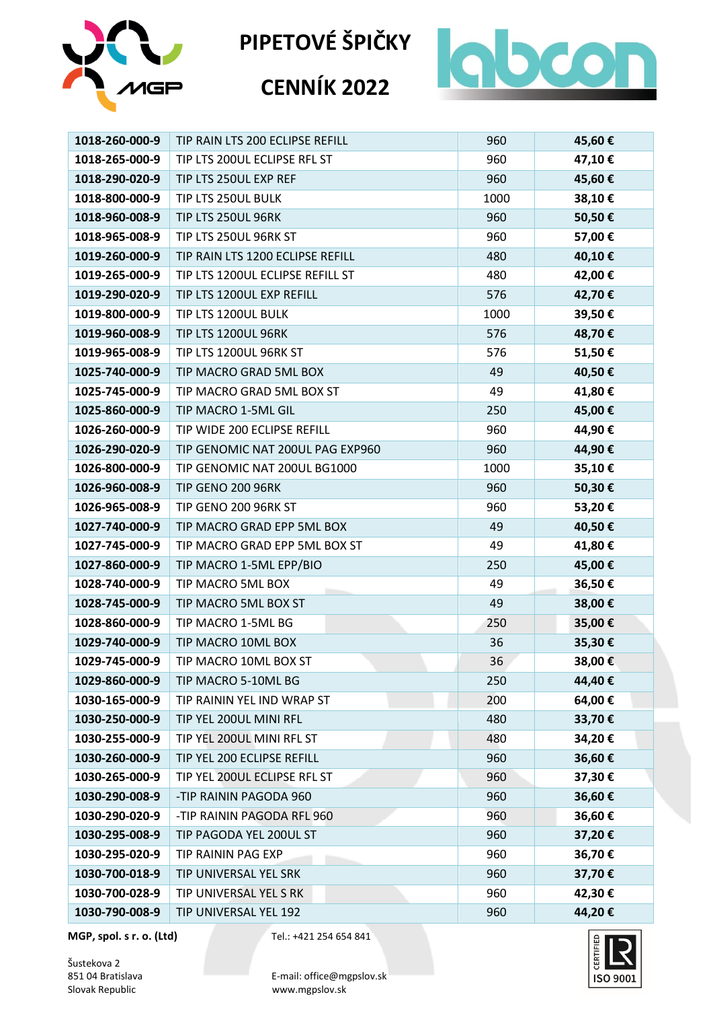



#### **CENNÍK 2022**



| 1018-260-000-9 | TIP RAIN LTS 200 ECLIPSE REFILL  | 960  | 45,60€ |
|----------------|----------------------------------|------|--------|
| 1018-265-000-9 | TIP LTS 200UL ECLIPSE RFL ST     | 960  | 47,10€ |
| 1018-290-020-9 | TIP LTS 250UL EXP REF            | 960  | 45,60€ |
| 1018-800-000-9 | TIP LTS 250UL BULK               | 1000 | 38,10€ |
| 1018-960-008-9 | TIP LTS 250UL 96RK               | 960  | 50,50€ |
| 1018-965-008-9 | TIP LTS 250UL 96RK ST            | 960  | 57,00€ |
| 1019-260-000-9 | TIP RAIN LTS 1200 ECLIPSE REFILL | 480  | 40,10€ |
| 1019-265-000-9 | TIP LTS 1200UL ECLIPSE REFILL ST | 480  | 42,00€ |
| 1019-290-020-9 | TIP LTS 1200UL EXP REFILL        | 576  | 42,70€ |
| 1019-800-000-9 | TIP LTS 1200UL BULK              | 1000 | 39,50€ |
| 1019-960-008-9 | TIP LTS 1200UL 96RK              | 576  | 48,70€ |
| 1019-965-008-9 | TIP LTS 1200UL 96RK ST           | 576  | 51,50€ |
| 1025-740-000-9 | TIP MACRO GRAD 5ML BOX           | 49   | 40,50€ |
| 1025-745-000-9 | TIP MACRO GRAD 5ML BOX ST        | 49   | 41,80€ |
| 1025-860-000-9 | TIP MACRO 1-5ML GIL              | 250  | 45,00€ |
| 1026-260-000-9 | TIP WIDE 200 ECLIPSE REFILL      | 960  | 44,90€ |
| 1026-290-020-9 | TIP GENOMIC NAT 200UL PAG EXP960 | 960  | 44,90€ |
| 1026-800-000-9 | TIP GENOMIC NAT 200UL BG1000     | 1000 | 35,10€ |
| 1026-960-008-9 | <b>TIP GENO 200 96RK</b>         | 960  | 50,30€ |
| 1026-965-008-9 | TIP GENO 200 96RK ST             | 960  | 53,20€ |
| 1027-740-000-9 | TIP MACRO GRAD EPP 5ML BOX       | 49   | 40,50€ |
| 1027-745-000-9 | TIP MACRO GRAD EPP 5ML BOX ST    | 49   | 41,80€ |
| 1027-860-000-9 | TIP MACRO 1-5ML EPP/BIO          | 250  | 45,00€ |
| 1028-740-000-9 | TIP MACRO 5ML BOX                | 49   | 36,50€ |
| 1028-745-000-9 | TIP MACRO 5ML BOX ST             | 49   | 38,00€ |
| 1028-860-000-9 | TIP MACRO 1-5ML BG               | 250  | 35,00€ |
| 1029-740-000-9 | TIP MACRO 10ML BOX               | 36   | 35,30€ |
| 1029-745-000-9 | TIP MACRO 10ML BOX ST            | 36   | 38,00€ |
| 1029-860-000-9 | TIP MACRO 5-10ML BG              | 250  | 44,40€ |
| 1030-165-000-9 | TIP RAININ YEL IND WRAP ST       | 200  | 64,00€ |
| 1030-250-000-9 | TIP YEL 200UL MINI RFL           | 480  | 33,70€ |
| 1030-255-000-9 | TIP YEL 200UL MINI RFL ST        | 480  | 34,20€ |
| 1030-260-000-9 | TIP YEL 200 ECLIPSE REFILL       | 960  | 36,60€ |
| 1030-265-000-9 | TIP YEL 200UL ECLIPSE RFL ST     | 960  | 37,30€ |
| 1030-290-008-9 | -TIP RAININ PAGODA 960           | 960  | 36,60€ |
| 1030-290-020-9 | -TIP RAININ PAGODA RFL 960       | 960  | 36,60€ |
| 1030-295-008-9 | TIP PAGODA YEL 200UL ST          | 960  | 37,20€ |
| 1030-295-020-9 | TIP RAININ PAG EXP               | 960  | 36,70€ |
| 1030-700-018-9 | TIP UNIVERSAL YEL SRK            | 960  | 37,70€ |
| 1030-700-028-9 | TIP UNIVERSAL YEL S RK           | 960  | 42,30€ |
| 1030-790-008-9 | TIP UNIVERSAL YEL 192            | 960  | 44,20€ |

**MGP, spol. s r. o. (Ltd)** Tel.: +421 254 654 841

Šustekova 2<br>851 04 Bratislava

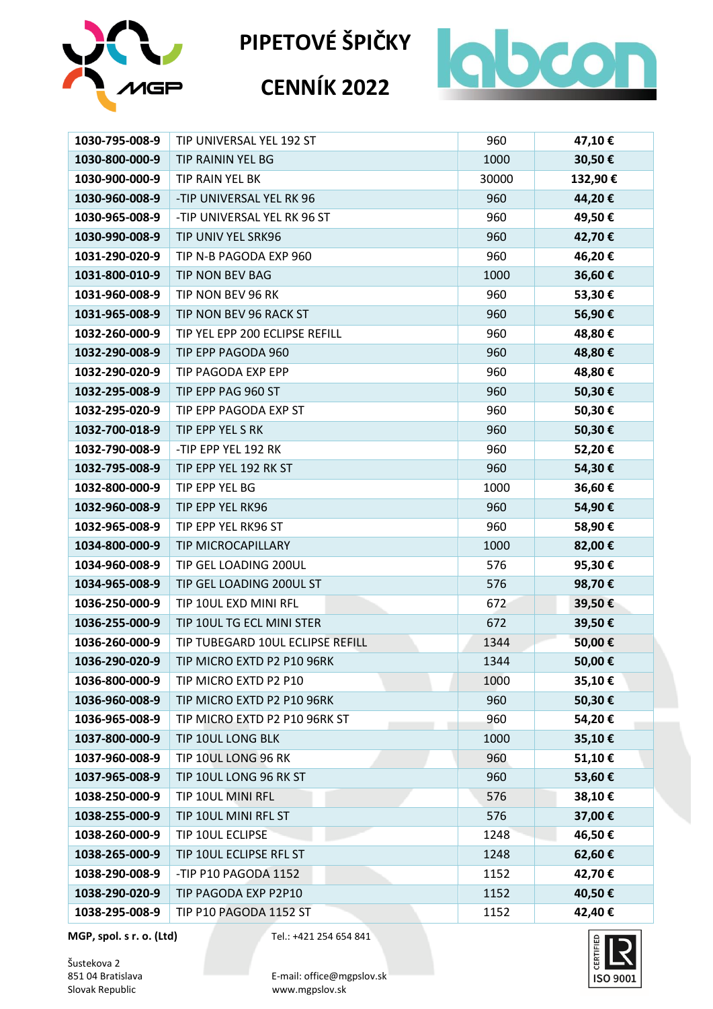

# **CENNÍK 2022**



| 1030-795-008-9 | TIP UNIVERSAL YEL 192 ST         | 960   | 47,10€  |
|----------------|----------------------------------|-------|---------|
| 1030-800-000-9 | TIP RAININ YEL BG                | 1000  | 30,50€  |
| 1030-900-000-9 | TIP RAIN YEL BK                  | 30000 | 132,90€ |
| 1030-960-008-9 | -TIP UNIVERSAL YEL RK 96         | 960   | 44,20€  |
| 1030-965-008-9 | -TIP UNIVERSAL YEL RK 96 ST      | 960   | 49,50€  |
| 1030-990-008-9 | TIP UNIV YEL SRK96               | 960   | 42,70€  |
| 1031-290-020-9 | TIP N-B PAGODA EXP 960           | 960   | 46,20€  |
| 1031-800-010-9 | TIP NON BEV BAG                  | 1000  | 36,60€  |
| 1031-960-008-9 | TIP NON BEV 96 RK                | 960   | 53,30€  |
| 1031-965-008-9 | TIP NON BEV 96 RACK ST           | 960   | 56,90€  |
| 1032-260-000-9 | TIP YEL EPP 200 ECLIPSE REFILL   | 960   | 48,80€  |
| 1032-290-008-9 | TIP EPP PAGODA 960               | 960   | 48,80€  |
| 1032-290-020-9 | TIP PAGODA EXP EPP               | 960   | 48,80€  |
| 1032-295-008-9 | TIP EPP PAG 960 ST               | 960   | 50,30€  |
| 1032-295-020-9 | TIP EPP PAGODA EXP ST            | 960   | 50,30€  |
| 1032-700-018-9 | TIP EPP YEL S RK                 | 960   | 50,30€  |
| 1032-790-008-9 | -TIP EPP YEL 192 RK              | 960   | 52,20€  |
| 1032-795-008-9 | TIP EPP YEL 192 RK ST            | 960   | 54,30€  |
| 1032-800-000-9 | TIP EPP YEL BG                   | 1000  | 36,60€  |
| 1032-960-008-9 | TIP EPP YEL RK96                 | 960   | 54,90€  |
| 1032-965-008-9 | TIP EPP YEL RK96 ST              | 960   | 58,90€  |
| 1034-800-000-9 | TIP MICROCAPILLARY               | 1000  | 82,00€  |
| 1034-960-008-9 | TIP GEL LOADING 200UL            | 576   | 95,30€  |
| 1034-965-008-9 | TIP GEL LOADING 200UL ST         | 576   | 98,70€  |
| 1036-250-000-9 | TIP 10UL EXD MINI RFL            | 672   | 39,50€  |
| 1036-255-000-9 | TIP 10UL TG ECL MINI STER        | 672   | 39,50€  |
| 1036-260-000-9 | TIP TUBEGARD 10UL ECLIPSE REFILL | 1344  | 50,00€  |
| 1036-290-020-9 | TIP MICRO EXTD P2 P10 96RK       | 1344  | 50,00€  |
| 1036-800-000-9 | TIP MICRO EXTD P2 P10            | 1000  | 35,10€  |
| 1036-960-008-9 | TIP MICRO EXTD P2 P10 96RK       | 960   | 50,30€  |
| 1036-965-008-9 | TIP MICRO EXTD P2 P10 96RK ST    | 960   | 54,20€  |
| 1037-800-000-9 | TIP 10UL LONG BLK                | 1000  | 35,10€  |
| 1037-960-008-9 | TIP 10UL LONG 96 RK              | 960   | 51,10€  |
| 1037-965-008-9 | TIP 10UL LONG 96 RK ST           | 960   | 53,60€  |
| 1038-250-000-9 | TIP 10UL MINI RFL                | 576   | 38,10€  |
| 1038-255-000-9 | TIP 10UL MINI RFL ST             | 576   | 37,00€  |
| 1038-260-000-9 | TIP 10UL ECLIPSE                 | 1248  | 46,50€  |
| 1038-265-000-9 | TIP 10UL ECLIPSE RFL ST          | 1248  | 62,60€  |
| 1038-290-008-9 | -TIP P10 PAGODA 1152             | 1152  | 42,70€  |
| 1038-290-020-9 | TIP PAGODA EXP P2P10             | 1152  | 40,50€  |
| 1038-295-008-9 | TIP P10 PAGODA 1152 ST           | 1152  | 42,40€  |

**MGP, spol. s r. o. (Ltd)** Tel.: +421 254 654 841

Šustekova 2<br>851 04 Bratislava

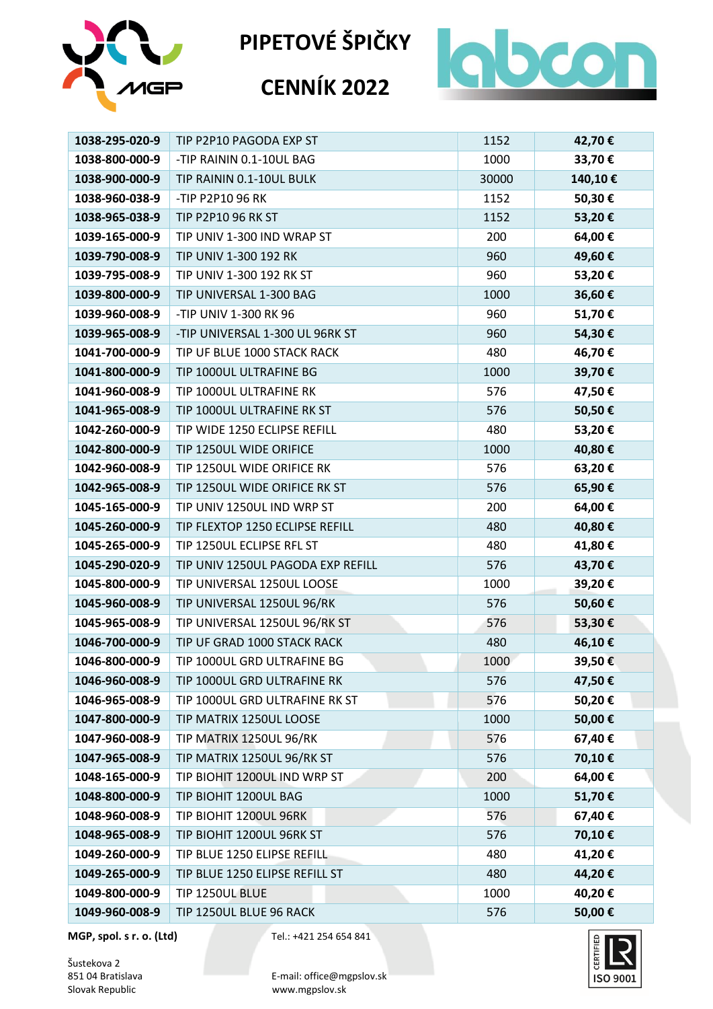

# **CENNÍK 2022**



| 1038-295-020-9 | TIP P2P10 PAGODA EXP ST           | 1152  | 42,70€  |
|----------------|-----------------------------------|-------|---------|
| 1038-800-000-9 | -TIP RAININ 0.1-10UL BAG          | 1000  | 33,70€  |
| 1038-900-000-9 | TIP RAININ 0.1-10UL BULK          | 30000 | 140,10€ |
| 1038-960-038-9 | -TIP P2P10 96 RK                  | 1152  | 50,30€  |
| 1038-965-038-9 | <b>TIP P2P10 96 RK ST</b>         | 1152  | 53,20€  |
| 1039-165-000-9 | TIP UNIV 1-300 IND WRAP ST        | 200   | 64,00€  |
| 1039-790-008-9 | TIP UNIV 1-300 192 RK             | 960   | 49,60€  |
| 1039-795-008-9 | TIP UNIV 1-300 192 RK ST          | 960   | 53,20€  |
| 1039-800-000-9 | TIP UNIVERSAL 1-300 BAG           | 1000  | 36,60€  |
| 1039-960-008-9 | -TIP UNIV 1-300 RK 96             | 960   | 51,70€  |
| 1039-965-008-9 | -TIP UNIVERSAL 1-300 UL 96RK ST   | 960   | 54,30€  |
| 1041-700-000-9 | TIP UF BLUE 1000 STACK RACK       | 480   | 46,70€  |
| 1041-800-000-9 | TIP 1000UL ULTRAFINE BG           | 1000  | 39,70€  |
| 1041-960-008-9 | TIP 1000UL ULTRAFINE RK           | 576   | 47,50€  |
| 1041-965-008-9 | TIP 1000UL ULTRAFINE RK ST        | 576   | 50,50€  |
| 1042-260-000-9 | TIP WIDE 1250 ECLIPSE REFILL      | 480   | 53,20€  |
| 1042-800-000-9 | TIP 1250UL WIDE ORIFICE           | 1000  | 40,80€  |
| 1042-960-008-9 | TIP 1250UL WIDE ORIFICE RK        | 576   | 63,20€  |
| 1042-965-008-9 | TIP 1250UL WIDE ORIFICE RK ST     | 576   | 65,90€  |
| 1045-165-000-9 | TIP UNIV 1250UL IND WRP ST        | 200   | 64,00€  |
| 1045-260-000-9 | TIP FLEXTOP 1250 ECLIPSE REFILL   | 480   | 40,80€  |
| 1045-265-000-9 | TIP 1250UL ECLIPSE RFL ST         | 480   | 41,80€  |
| 1045-290-020-9 | TIP UNIV 1250UL PAGODA EXP REFILL | 576   | 43,70€  |
| 1045-800-000-9 | TIP UNIVERSAL 1250UL LOOSE        | 1000  | 39,20€  |
| 1045-960-008-9 | TIP UNIVERSAL 1250UL 96/RK        | 576   | 50,60€  |
| 1045-965-008-9 | TIP UNIVERSAL 1250UL 96/RK ST     | 576   | 53,30€  |
| 1046-700-000-9 | TIP UF GRAD 1000 STACK RACK       | 480   | 46,10€  |
| 1046-800-000-9 | TIP 1000UL GRD ULTRAFINE BG       | 1000  | 39,50€  |
| 1046-960-008-9 | TIP 1000UL GRD ULTRAFINE RK       | 576   | 47,50€  |
| 1046-965-008-9 | TIP 1000UL GRD ULTRAFINE RK ST    | 576   | 50,20€  |
| 1047-800-000-9 | TIP MATRIX 1250UL LOOSE           | 1000  | 50,00€  |
| 1047-960-008-9 | TIP MATRIX 1250UL 96/RK           | 576   | 67,40€  |
| 1047-965-008-9 | TIP MATRIX 1250UL 96/RK ST        | 576   | 70,10€  |
| 1048-165-000-9 | TIP BIOHIT 1200UL IND WRP ST      | 200   | 64,00€  |
| 1048-800-000-9 | TIP BIOHIT 1200UL BAG             | 1000  | 51,70€  |
| 1048-960-008-9 | TIP BIOHIT 1200UL 96RK            | 576   | 67,40€  |
| 1048-965-008-9 | TIP BIOHIT 1200UL 96RK ST         | 576   | 70,10€  |
| 1049-260-000-9 | TIP BLUE 1250 ELIPSE REFILL       | 480   | 41,20€  |
| 1049-265-000-9 | TIP BLUE 1250 ELIPSE REFILL ST    | 480   | 44,20€  |
| 1049-800-000-9 | TIP 1250UL BLUE                   | 1000  | 40,20€  |
| 1049-960-008-9 | TIP 1250UL BLUE 96 RACK           | 576   | 50,00€  |

**MGP, spol. s r. o. (Ltd)** Tel.: +421 254 654 841

Šustekova 2<br>851 04 Bratislava

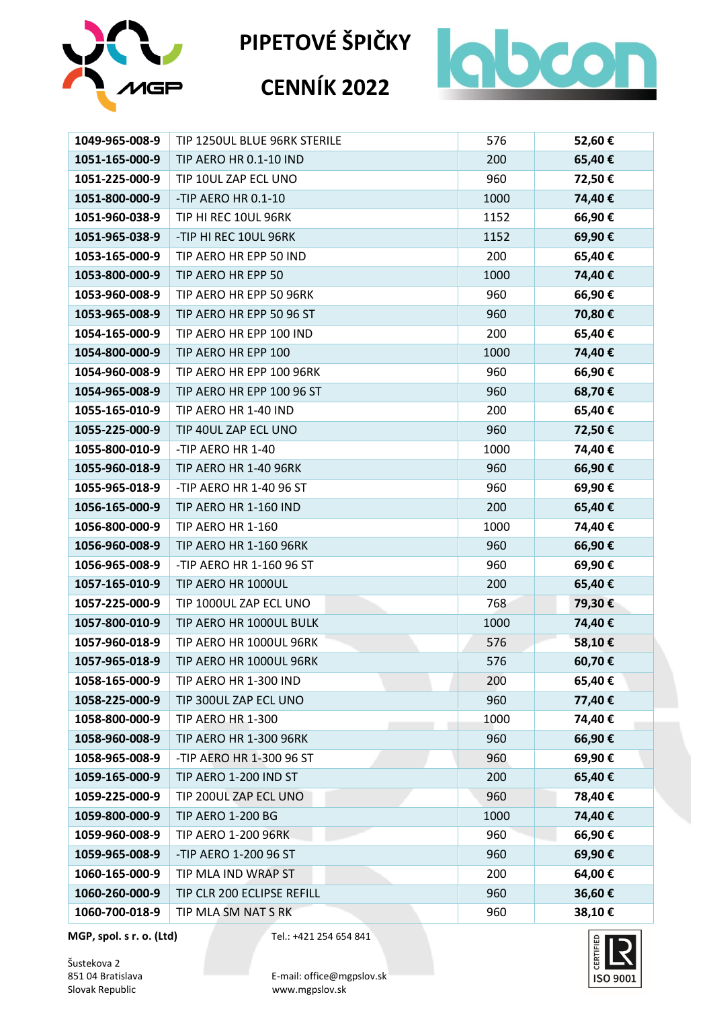

# **CENNÍK 2022**



| 1049-965-008-9 | TIP 1250UL BLUE 96RK STERILE  | 576  | 52,60€ |
|----------------|-------------------------------|------|--------|
| 1051-165-000-9 | TIP AERO HR 0.1-10 IND        | 200  | 65,40€ |
| 1051-225-000-9 | TIP 10UL ZAP ECL UNO          | 960  | 72,50€ |
| 1051-800-000-9 | -TIP AERO HR 0.1-10           | 1000 | 74,40€ |
| 1051-960-038-9 | TIP HI REC 10UL 96RK          | 1152 | 66,90€ |
| 1051-965-038-9 | -TIP HI REC 10UL 96RK         | 1152 | 69,90€ |
| 1053-165-000-9 | TIP AERO HR EPP 50 IND        | 200  | 65,40€ |
| 1053-800-000-9 | TIP AERO HR EPP 50            | 1000 | 74,40€ |
| 1053-960-008-9 | TIP AERO HR EPP 50 96RK       | 960  | 66,90€ |
| 1053-965-008-9 | TIP AERO HR EPP 50 96 ST      | 960  | 70,80€ |
| 1054-165-000-9 | TIP AERO HR EPP 100 IND       | 200  | 65,40€ |
| 1054-800-000-9 | TIP AERO HR EPP 100           | 1000 | 74,40€ |
| 1054-960-008-9 | TIP AERO HR EPP 100 96RK      | 960  | 66,90€ |
| 1054-965-008-9 | TIP AERO HR EPP 100 96 ST     | 960  | 68,70€ |
| 1055-165-010-9 | TIP AERO HR 1-40 IND          | 200  | 65,40€ |
| 1055-225-000-9 | TIP 40UL ZAP ECL UNO          | 960  | 72,50€ |
| 1055-800-010-9 | -TIP AERO HR 1-40             | 1000 | 74,40€ |
| 1055-960-018-9 | TIP AERO HR 1-40 96RK         | 960  | 66,90€ |
| 1055-965-018-9 | -TIP AERO HR 1-40 96 ST       | 960  | 69,90€ |
| 1056-165-000-9 | TIP AERO HR 1-160 IND         | 200  | 65,40€ |
| 1056-800-000-9 | TIP AERO HR 1-160             | 1000 | 74,40€ |
| 1056-960-008-9 | <b>TIP AERO HR 1-160 96RK</b> | 960  | 66,90€ |
| 1056-965-008-9 | -TIP AERO HR 1-160 96 ST      | 960  | 69,90€ |
| 1057-165-010-9 | TIP AERO HR 1000UL            | 200  | 65,40€ |
| 1057-225-000-9 | TIP 1000UL ZAP ECL UNO        | 768  | 79,30€ |
| 1057-800-010-9 | TIP AERO HR 1000UL BULK       | 1000 | 74,40€ |
| 1057-960-018-9 | TIP AERO HR 1000UL 96RK       | 576  | 58,10€ |
| 1057-965-018-9 | TIP AERO HR 1000UL 96RK       | 576  | 60,70€ |
| 1058-165-000-9 | TIP AERO HR 1-300 IND         | 200  | 65,40€ |
| 1058-225-000-9 | TIP 300UL ZAP ECL UNO         | 960  | 77,40€ |
| 1058-800-000-9 | TIP AERO HR 1-300             | 1000 | 74,40€ |
| 1058-960-008-9 | <b>TIP AERO HR 1-300 96RK</b> | 960  | 66,90€ |
| 1058-965-008-9 | -TIP AERO HR 1-300 96 ST      | 960  | 69,90€ |
| 1059-165-000-9 | TIP AERO 1-200 IND ST         | 200  | 65,40€ |
| 1059-225-000-9 | TIP 200UL ZAP ECL UNO         | 960  | 78,40€ |
| 1059-800-000-9 | <b>TIP AERO 1-200 BG</b>      | 1000 | 74,40€ |
| 1059-960-008-9 | <b>TIP AERO 1-200 96RK</b>    | 960  | 66,90€ |
| 1059-965-008-9 | -TIP AERO 1-200 96 ST         | 960  | 69,90€ |
| 1060-165-000-9 | TIP MLA IND WRAP ST           | 200  | 64,00€ |
| 1060-260-000-9 | TIP CLR 200 ECLIPSE REFILL    | 960  | 36,60€ |
| 1060-700-018-9 | TIP MLA SM NAT S RK           | 960  | 38,10€ |

**MGP, spol. s r. o. (Ltd)** Tel.: +421 254 654 841

Šustekova 2<br>851 04 Bratislava

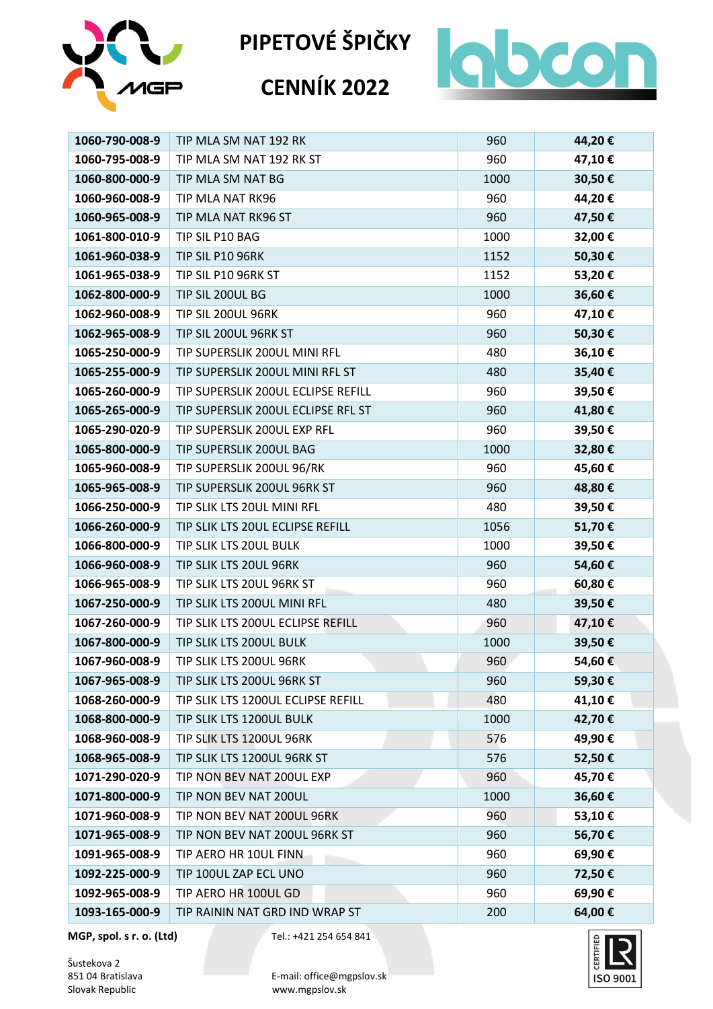

# **CENNÍK 2022**



| 1060-790-008-9 | TIP MLA SM NAT 192 RK              | 960  | 44,20€ |
|----------------|------------------------------------|------|--------|
| 1060-795-008-9 | TIP MLA SM NAT 192 RK ST           | 960  | 47,10€ |
| 1060-800-000-9 | TIP MLA SM NAT BG                  | 1000 | 30,50€ |
| 1060-960-008-9 | TIP MLA NAT RK96                   | 960  | 44,20€ |
| 1060-965-008-9 | TIP MLA NAT RK96 ST                | 960  | 47,50€ |
| 1061-800-010-9 | TIP SIL P10 BAG                    | 1000 | 32,00€ |
| 1061-960-038-9 | TIP SIL P10 96RK                   | 1152 | 50,30€ |
| 1061-965-038-9 | TIP SIL P10 96RK ST                | 1152 | 53,20€ |
| 1062-800-000-9 | TIP SIL 200UL BG                   | 1000 | 36,60€ |
| 1062-960-008-9 | TIP SIL 200UL 96RK                 | 960  | 47,10€ |
| 1062-965-008-9 | TIP SIL 200UL 96RK ST              | 960  | 50,30€ |
| 1065-250-000-9 | TIP SUPERSLIK 200UL MINI RFL       | 480  | 36,10€ |
| 1065-255-000-9 | TIP SUPERSLIK 200UL MINI RFL ST    | 480  | 35,40€ |
| 1065-260-000-9 | TIP SUPERSLIK 200UL ECLIPSE REFILL | 960  | 39,50€ |
| 1065-265-000-9 | TIP SUPERSLIK 200UL ECLIPSE RFL ST | 960  | 41,80€ |
| 1065-290-020-9 | TIP SUPERSLIK 200UL EXP RFL        | 960  | 39,50€ |
| 1065-800-000-9 | TIP SUPERSLIK 200UL BAG            | 1000 | 32,80€ |
| 1065-960-008-9 | TIP SUPERSLIK 200UL 96/RK          | 960  | 45,60€ |
| 1065-965-008-9 | TIP SUPERSLIK 200UL 96RK ST        | 960  | 48,80€ |
| 1066-250-000-9 | TIP SLIK LTS 20UL MINI RFL         | 480  | 39,50€ |
| 1066-260-000-9 | TIP SLIK LTS 20UL ECLIPSE REFILL   | 1056 | 51,70€ |
| 1066-800-000-9 | TIP SLIK LTS 20UL BULK             | 1000 | 39,50€ |
| 1066-960-008-9 | TIP SLIK LTS 20UL 96RK             | 960  | 54,60€ |
| 1066-965-008-9 | TIP SLIK LTS 20UL 96RK ST          | 960  | 60,80€ |
| 1067-250-000-9 | TIP SLIK LTS 200UL MINI RFL        | 480  | 39,50€ |
| 1067-260-000-9 | TIP SLIK LTS 200UL ECLIPSE REFILL  | 960  | 47,10€ |
| 1067-800-000-9 | TIP SLIK LTS 200UL BULK            | 1000 | 39,50€ |
| 1067-960-008-9 | TIP SLIK LTS 200UL 96RK            | 960  | 54,60€ |
| 1067-965-008-9 | TIP SLIK LTS 200UL 96RK ST         | 960  | 59,30€ |
| 1068-260-000-9 | TIP SLIK LTS 1200UL ECLIPSE REFILL | 480  | 41,10€ |
| 1068-800-000-9 | TIP SLIK LTS 1200UL BULK           | 1000 | 42,70€ |
| 1068-960-008-9 | TIP SLIK LTS 1200UL 96RK           | 576  | 49,90€ |
| 1068-965-008-9 | TIP SLIK LTS 1200UL 96RK ST        | 576  | 52,50€ |
| 1071-290-020-9 | TIP NON BEV NAT 200UL EXP          | 960  | 45,70€ |
| 1071-800-000-9 | TIP NON BEV NAT 200UL              | 1000 | 36,60€ |
| 1071-960-008-9 | TIP NON BEV NAT 200UL 96RK         | 960  | 53,10€ |
| 1071-965-008-9 | TIP NON BEV NAT 200UL 96RK ST      | 960  | 56,70€ |
| 1091-965-008-9 | TIP AERO HR 10UL FINN              | 960  | 69,90€ |
| 1092-225-000-9 | TIP 100UL ZAP ECL UNO              | 960  | 72,50€ |
| 1092-965-008-9 | TIP AERO HR 100UL GD               | 960  | 69,90€ |
| 1093-165-000-9 | TIP RAININ NAT GRD IND WRAP ST     | 200  | 64,00€ |

**MGP, spol. s r. o. (Ltd)** Tel.: +421 254 654 841

Šustekova 2<br>851 04 Bratislava

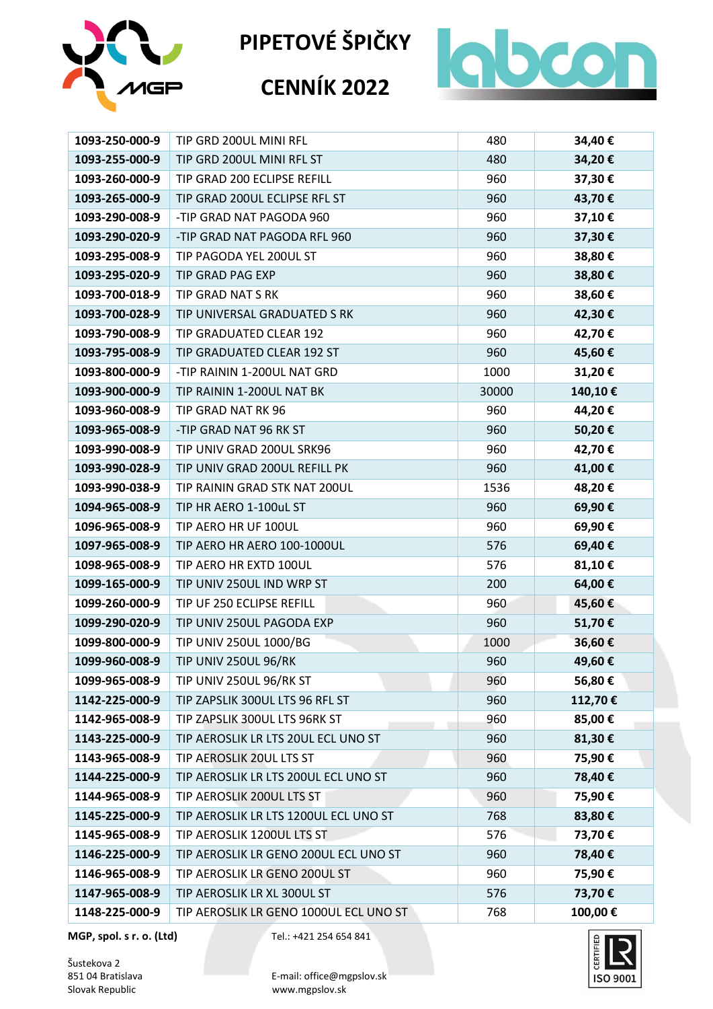

# **CENNÍK 2022**



| 1093-250-000-9 | TIP GRD 200UL MINI RFL                 | 480   | 34,40€  |
|----------------|----------------------------------------|-------|---------|
| 1093-255-000-9 | TIP GRD 200UL MINI RFL ST              | 480   | 34,20€  |
| 1093-260-000-9 | TIP GRAD 200 ECLIPSE REFILL            | 960   | 37,30€  |
| 1093-265-000-9 | TIP GRAD 200UL ECLIPSE RFL ST          | 960   | 43,70€  |
| 1093-290-008-9 | -TIP GRAD NAT PAGODA 960               | 960   | 37,10€  |
| 1093-290-020-9 | -TIP GRAD NAT PAGODA RFL 960           | 960   | 37,30€  |
| 1093-295-008-9 | TIP PAGODA YEL 200UL ST                | 960   | 38,80€  |
| 1093-295-020-9 | <b>TIP GRAD PAG EXP</b>                | 960   | 38,80€  |
| 1093-700-018-9 | TIP GRAD NAT S RK                      | 960   | 38,60€  |
| 1093-700-028-9 | TIP UNIVERSAL GRADUATED S RK           | 960   | 42,30€  |
| 1093-790-008-9 | TIP GRADUATED CLEAR 192                | 960   | 42,70€  |
| 1093-795-008-9 | TIP GRADUATED CLEAR 192 ST             | 960   | 45,60€  |
| 1093-800-000-9 | -TIP RAININ 1-200UL NAT GRD            | 1000  | 31,20€  |
| 1093-900-000-9 | TIP RAININ 1-200UL NAT BK              | 30000 | 140,10€ |
| 1093-960-008-9 | TIP GRAD NAT RK 96                     | 960   | 44,20€  |
| 1093-965-008-9 | -TIP GRAD NAT 96 RK ST                 | 960   | 50,20€  |
| 1093-990-008-9 | TIP UNIV GRAD 200UL SRK96              | 960   | 42,70€  |
| 1093-990-028-9 | TIP UNIV GRAD 200UL REFILL PK          | 960   | 41,00€  |
| 1093-990-038-9 | TIP RAININ GRAD STK NAT 200UL          | 1536  | 48,20€  |
| 1094-965-008-9 | TIP HR AERO 1-100uL ST                 | 960   | 69,90€  |
| 1096-965-008-9 | TIP AERO HR UF 100UL                   | 960   | 69,90€  |
| 1097-965-008-9 | TIP AERO HR AERO 100-1000UL            | 576   | 69,40€  |
| 1098-965-008-9 | TIP AERO HR EXTD 100UL                 | 576   | 81,10€  |
| 1099-165-000-9 | TIP UNIV 250UL IND WRP ST              | 200   | 64,00€  |
| 1099-260-000-9 | TIP UF 250 ECLIPSE REFILL              | 960   | 45,60€  |
| 1099-290-020-9 | TIP UNIV 250UL PAGODA EXP              | 960   | 51,70€  |
| 1099-800-000-9 | TIP UNIV 250UL 1000/BG                 | 1000  | 36,60€  |
| 1099-960-008-9 | TIP UNIV 250UL 96/RK                   | 960   | 49,60€  |
| 1099-965-008-9 | TIP UNIV 250UL 96/RK ST                | 960   | 56,80€  |
| 1142-225-000-9 | TIP ZAPSLIK 300UL LTS 96 RFL ST        | 960   | 112,70€ |
| 1142-965-008-9 | TIP ZAPSLIK 300UL LTS 96RK ST          | 960   | 85,00€  |
| 1143-225-000-9 | TIP AEROSLIK LR LTS 20UL ECL UNO ST    | 960   | 81,30€  |
| 1143-965-008-9 | TIP AEROSLIK 20UL LTS ST               | 960   | 75,90€  |
| 1144-225-000-9 | TIP AEROSLIK LR LTS 200UL ECL UNO ST   | 960   | 78,40€  |
| 1144-965-008-9 | TIP AEROSLIK 200UL LTS ST              | 960   | 75,90€  |
| 1145-225-000-9 | TIP AEROSLIK LR LTS 1200UL ECL UNO ST  | 768   | 83,80€  |
| 1145-965-008-9 | TIP AEROSLIK 1200UL LTS ST             | 576   | 73,70€  |
| 1146-225-000-9 | TIP AEROSLIK LR GENO 200UL ECL UNO ST  | 960   | 78,40€  |
| 1146-965-008-9 | TIP AEROSLIK LR GENO 200UL ST          | 960   | 75,90€  |
| 1147-965-008-9 | TIP AEROSLIK LR XL 300UL ST            | 576   | 73,70€  |
| 1148-225-000-9 | TIP AEROSLIK LR GENO 1000UL ECL UNO ST | 768   | 100,00€ |

**MGP, spol. s r. o. (Ltd)** Tel.: +421 254 654 841

Šustekova 2<br>851 04 Bratislava

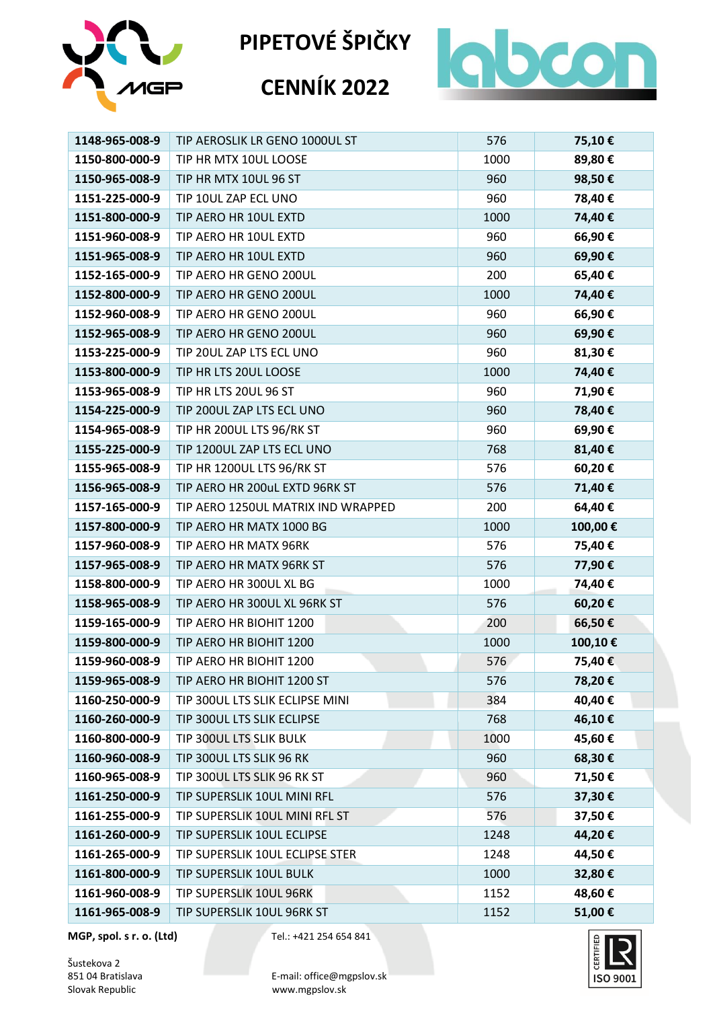

# **CENNÍK 2022**



| 1148-965-008-9 | TIP AEROSLIK LR GENO 1000UL ST     | 576  | 75,10€  |
|----------------|------------------------------------|------|---------|
| 1150-800-000-9 | TIP HR MTX 10UL LOOSE              | 1000 | 89,80€  |
| 1150-965-008-9 | TIP HR MTX 10UL 96 ST              | 960  | 98,50€  |
| 1151-225-000-9 | TIP 10UL ZAP ECL UNO               | 960  | 78,40€  |
| 1151-800-000-9 | TIP AERO HR 10UL EXTD              | 1000 | 74,40€  |
| 1151-960-008-9 | TIP AERO HR 10UL EXTD              | 960  | 66,90€  |
| 1151-965-008-9 | TIP AERO HR 10UL EXTD              | 960  | 69,90€  |
| 1152-165-000-9 | TIP AERO HR GENO 200UL             | 200  | 65,40€  |
| 1152-800-000-9 | TIP AERO HR GENO 200UL             | 1000 | 74,40€  |
| 1152-960-008-9 | TIP AERO HR GENO 200UL             | 960  | 66,90€  |
| 1152-965-008-9 | TIP AERO HR GENO 200UL             | 960  | 69,90€  |
| 1153-225-000-9 | TIP 20UL ZAP LTS ECL UNO           | 960  | 81,30€  |
| 1153-800-000-9 | TIP HR LTS 20UL LOOSE              | 1000 | 74,40€  |
| 1153-965-008-9 | TIP HR LTS 20UL 96 ST              | 960  | 71,90€  |
| 1154-225-000-9 | TIP 200UL ZAP LTS ECL UNO          | 960  | 78,40€  |
| 1154-965-008-9 | TIP HR 200UL LTS 96/RK ST          | 960  | 69,90€  |
| 1155-225-000-9 | TIP 1200UL ZAP LTS ECL UNO         | 768  | 81,40€  |
| 1155-965-008-9 | TIP HR 1200UL LTS 96/RK ST         | 576  | 60,20€  |
| 1156-965-008-9 | TIP AERO HR 200uL EXTD 96RK ST     | 576  | 71,40€  |
| 1157-165-000-9 | TIP AERO 1250UL MATRIX IND WRAPPED | 200  | 64,40€  |
| 1157-800-000-9 | TIP AERO HR MATX 1000 BG           | 1000 | 100,00€ |
| 1157-960-008-9 | TIP AERO HR MATX 96RK              | 576  | 75,40€  |
| 1157-965-008-9 | TIP AERO HR MATX 96RK ST           | 576  | 77,90€  |
| 1158-800-000-9 | TIP AERO HR 300UL XL BG            | 1000 | 74,40€  |
| 1158-965-008-9 | TIP AERO HR 300UL XL 96RK ST       | 576  | 60,20€  |
| 1159-165-000-9 | TIP AERO HR BIOHIT 1200            | 200  | 66,50€  |
| 1159-800-000-9 | TIP AERO HR BIOHIT 1200            | 1000 | 100,10€ |
| 1159-960-008-9 | TIP AERO HR BIOHIT 1200            | 576  | 75,40€  |
| 1159-965-008-9 | TIP AERO HR BIOHIT 1200 ST         | 576  | 78,20€  |
| 1160-250-000-9 | TIP 300UL LTS SLIK ECLIPSE MINI    | 384  | 40,40€  |
| 1160-260-000-9 | TIP 300UL LTS SLIK ECLIPSE         | 768  | 46,10€  |
| 1160-800-000-9 | TIP 300UL LTS SLIK BULK            | 1000 | 45,60€  |
| 1160-960-008-9 | TIP 300UL LTS SLIK 96 RK           | 960  | 68,30€  |
| 1160-965-008-9 | TIP 300UL LTS SLIK 96 RK ST        | 960  | 71,50€  |
| 1161-250-000-9 | TIP SUPERSLIK 10UL MINI RFL        | 576  | 37,30€  |
| 1161-255-000-9 | TIP SUPERSLIK 10UL MINI RFL ST     | 576  | 37,50€  |
| 1161-260-000-9 | TIP SUPERSLIK 10UL ECLIPSE         | 1248 | 44,20€  |
| 1161-265-000-9 | TIP SUPERSLIK 10UL ECLIPSE STER    | 1248 | 44,50€  |
| 1161-800-000-9 | TIP SUPERSLIK 10UL BULK            | 1000 | 32,80€  |
| 1161-960-008-9 | TIP SUPERSLIK 10UL 96RK            | 1152 | 48,60€  |
| 1161-965-008-9 | TIP SUPERSLIK 10UL 96RK ST         | 1152 | 51,00€  |

**MGP, spol. s r. o. (Ltd)** Tel.: +421 254 654 841

Šustekova 2<br>851 04 Bratislava

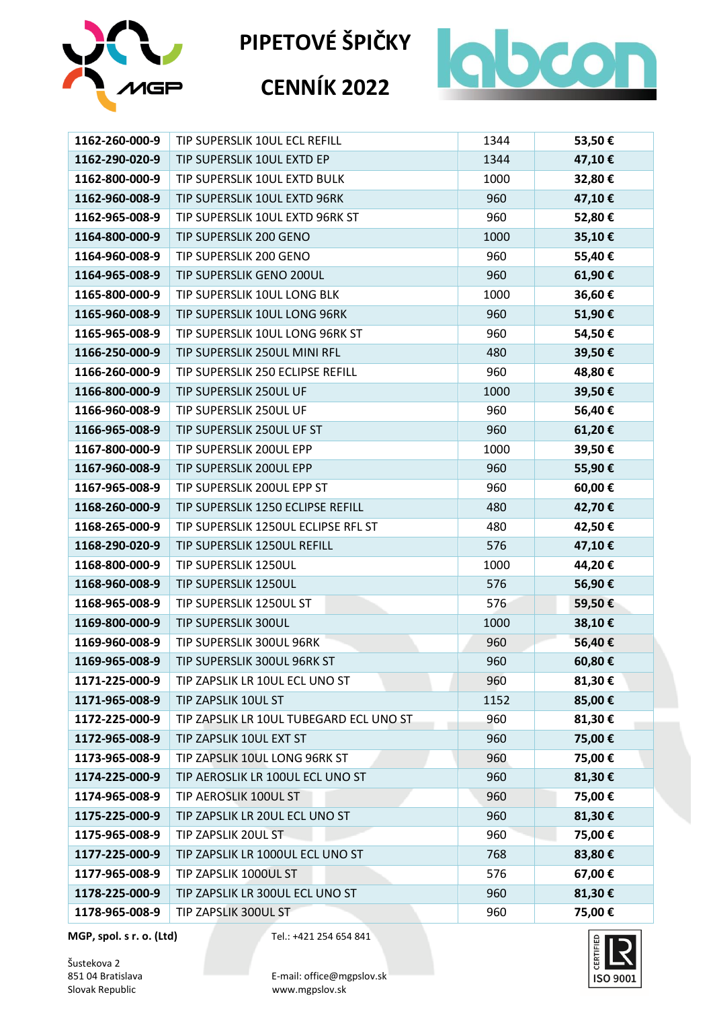

# **CENNÍK 2022**



| 1162-260-000-9 | TIP SUPERSLIK 10UL ECL REFILL           | 1344 | 53,50€ |
|----------------|-----------------------------------------|------|--------|
| 1162-290-020-9 | TIP SUPERSLIK 10UL EXTD EP              | 1344 | 47,10€ |
| 1162-800-000-9 | TIP SUPERSLIK 10UL EXTD BULK            | 1000 | 32,80€ |
| 1162-960-008-9 | TIP SUPERSLIK 10UL EXTD 96RK            | 960  | 47,10€ |
| 1162-965-008-9 | TIP SUPERSLIK 10UL EXTD 96RK ST         | 960  | 52,80€ |
| 1164-800-000-9 | TIP SUPERSLIK 200 GENO                  | 1000 | 35,10€ |
| 1164-960-008-9 | TIP SUPERSLIK 200 GENO                  | 960  | 55,40€ |
| 1164-965-008-9 | TIP SUPERSLIK GENO 200UL                | 960  | 61,90€ |
| 1165-800-000-9 | TIP SUPERSLIK 10UL LONG BLK             | 1000 | 36,60€ |
| 1165-960-008-9 | TIP SUPERSLIK 10UL LONG 96RK            | 960  | 51,90€ |
| 1165-965-008-9 | TIP SUPERSLIK 10UL LONG 96RK ST         | 960  | 54,50€ |
| 1166-250-000-9 | TIP SUPERSLIK 250UL MINI RFL            | 480  | 39,50€ |
| 1166-260-000-9 | TIP SUPERSLIK 250 ECLIPSE REFILL        | 960  | 48,80€ |
| 1166-800-000-9 | TIP SUPERSLIK 250UL UF                  | 1000 | 39,50€ |
| 1166-960-008-9 | TIP SUPERSLIK 250UL UF                  | 960  | 56,40€ |
| 1166-965-008-9 | TIP SUPERSLIK 250UL UF ST               | 960  | 61,20€ |
| 1167-800-000-9 | TIP SUPERSLIK 200UL EPP                 | 1000 | 39,50€ |
| 1167-960-008-9 | TIP SUPERSLIK 200UL EPP                 | 960  | 55,90€ |
| 1167-965-008-9 | TIP SUPERSLIK 200UL EPP ST              | 960  | 60,00€ |
| 1168-260-000-9 | TIP SUPERSLIK 1250 ECLIPSE REFILL       | 480  | 42,70€ |
| 1168-265-000-9 | TIP SUPERSLIK 1250UL ECLIPSE RFL ST     | 480  | 42,50€ |
| 1168-290-020-9 | TIP SUPERSLIK 1250UL REFILL             | 576  | 47,10€ |
| 1168-800-000-9 | TIP SUPERSLIK 1250UL                    | 1000 | 44,20€ |
| 1168-960-008-9 | TIP SUPERSLIK 1250UL                    | 576  | 56,90€ |
| 1168-965-008-9 | TIP SUPERSLIK 1250UL ST                 | 576  | 59,50€ |
| 1169-800-000-9 | TIP SUPERSLIK 300UL                     | 1000 | 38,10€ |
| 1169-960-008-9 | TIP SUPERSLIK 300UL 96RK                | 960  | 56,40€ |
| 1169-965-008-9 | TIP SUPERSLIK 300UL 96RK ST             | 960  | 60,80€ |
| 1171-225-000-9 | TIP ZAPSLIK LR 10UL ECL UNO ST          | 960  | 81,30€ |
| 1171-965-008-9 | TIP ZAPSLIK 10UL ST                     | 1152 | 85,00€ |
| 1172-225-000-9 | TIP ZAPSLIK LR 10UL TUBEGARD ECL UNO ST | 960  | 81,30€ |
| 1172-965-008-9 | TIP ZAPSLIK 10UL EXT ST                 | 960  | 75,00€ |
| 1173-965-008-9 | TIP ZAPSLIK 10UL LONG 96RK ST           | 960  | 75,00€ |
| 1174-225-000-9 | TIP AEROSLIK LR 100UL ECL UNO ST        | 960  | 81,30€ |
| 1174-965-008-9 | TIP AEROSLIK 100UL ST                   | 960  | 75,00€ |
| 1175-225-000-9 | TIP ZAPSLIK LR 20UL ECL UNO ST          | 960  | 81,30€ |
| 1175-965-008-9 | TIP ZAPSLIK 20UL ST                     | 960  | 75,00€ |
| 1177-225-000-9 | TIP ZAPSLIK LR 1000UL ECL UNO ST        | 768  | 83,80€ |
| 1177-965-008-9 | TIP ZAPSLIK 1000UL ST                   | 576  | 67,00€ |
| 1178-225-000-9 | TIP ZAPSLIK LR 300UL ECL UNO ST         | 960  | 81,30€ |
| 1178-965-008-9 | TIP ZAPSLIK 300UL ST                    | 960  | 75,00€ |

**MGP, spol. s r. o. (Ltd)** Tel.: +421 254 654 841

Šustekova 2<br>851 04 Bratislava